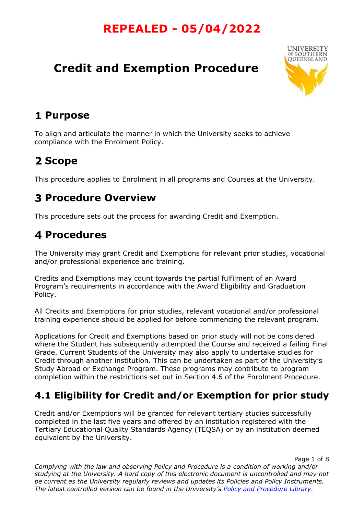# **Credit and Exemption Procedure**



## **Purpose**

To align and articulate the manner in which the University seeks to achieve compliance with the Enrolment Policy.

# 2 Scope

This procedure applies to Enrolment in all programs and Courses at the University.

## **Procedure Overview**

This procedure sets out the process for awarding Credit and Exemption.

## **4 Procedures**

The University may grant Credit and Exemptions for relevant prior studies, vocational and/or professional experience and training.

Credits and Exemptions may count towards the partial fulfilment of an Award Program's requirements in accordance with the Award Eligibility and Graduation Policy.

All Credits and Exemptions for prior studies, relevant vocational and/or professional training experience should be applied for before commencing the relevant program.

Applications for Credit and Exemptions based on prior study will not be considered where the Student has subsequently attempted the Course and received a failing Final Grade. Current Students of the University may also apply to undertake studies for Credit through another institution. This can be undertaken as part of the University's Study Abroad or Exchange Program. These programs may contribute to program completion within the restrictions set out in Section 4.6 of the Enrolment Procedure.

### **4.1 Eligibility for Credit and/or Exemption for prior study**

Credit and/or Exemptions will be granted for relevant tertiary studies successfully completed in the last five years and offered by an institution registered with the Tertiary Educational Quality Standards Agency (TEQSA) or by an institution deemed equivalent by the University.

Page 1 of 8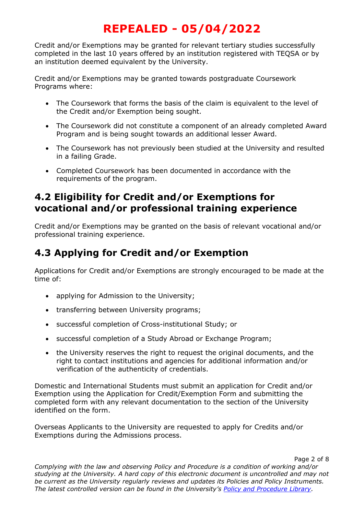Credit and/or Exemptions may be granted for relevant tertiary studies successfully completed in the last 10 years offered by an institution registered with TEQSA or by an institution deemed equivalent by the University.

Credit and/or Exemptions may be granted towards postgraduate Coursework Programs where:

- The Coursework that forms the basis of the claim is equivalent to the level of the Credit and/or Exemption being sought.
- The Coursework did not constitute a component of an already completed Award Program and is being sought towards an additional lesser Award.
- The Coursework has not previously been studied at the University and resulted in a failing Grade.
- Completed Coursework has been documented in accordance with the requirements of the program.

#### **4.2 Eligibility for Credit and/or Exemptions for vocational and/or professional training experience**

Credit and/or Exemptions may be granted on the basis of relevant vocational and/or professional training experience.

### **4.3 Applying for Credit and/or Exemption**

Applications for Credit and/or Exemptions are strongly encouraged to be made at the time of:

- applying for Admission to the University;
- transferring between University programs;
- successful completion of Cross-institutional Study; or
- successful completion of a Study Abroad or Exchange Program;
- the University reserves the right to request the original documents, and the right to contact institutions and agencies for additional information and/or verification of the authenticity of credentials.

Domestic and International Students must submit an application for Credit and/or Exemption using the Application for Credit/Exemption Form and submitting the completed form with any relevant documentation to the section of the University identified on the form.

Overseas Applicants to the University are requested to apply for Credits and/or Exemptions during the Admissions process.

Page 2 of 8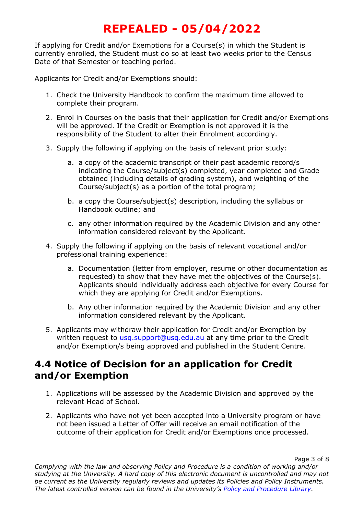If applying for Credit and/or Exemptions for a Course(s) in which the Student is currently enrolled, the Student must do so at least two weeks prior to the Census Date of that Semester or teaching period.

Applicants for Credit and/or Exemptions should:

- 1. Check the University Handbook to confirm the maximum time allowed to complete their program.
- 2. Enrol in Courses on the basis that their application for Credit and/or Exemptions will be approved. If the Credit or Exemption is not approved it is the responsibility of the Student to alter their Enrolment accordingly.
- 3. Supply the following if applying on the basis of relevant prior study:
	- a. a copy of the academic transcript of their past academic record/s indicating the Course/subject(s) completed, year completed and Grade obtained (including details of grading system), and weighting of the Course/subject(s) as a portion of the total program;
	- b. a copy the Course/subject(s) description, including the syllabus or Handbook outline; and
	- c. any other information required by the Academic Division and any other information considered relevant by the Applicant.
- 4. Supply the following if applying on the basis of relevant vocational and/or professional training experience:
	- a. Documentation (letter from employer, resume or other documentation as requested) to show that they have met the objectives of the Course(s). Applicants should individually address each objective for every Course for which they are applying for Credit and/or Exemptions.
	- b. Any other information required by the Academic Division and any other information considered relevant by the Applicant.
- 5. Applicants may withdraw their application for Credit and/or Exemption by written request to [usq.support@usq.edu.au](mailto:usq.support@usq.edu.au) at any time prior to the Credit and/or Exemption/s being approved and published in the Student Centre.

#### **4.4 Notice of Decision for an application for Credit and/or Exemption**

- 1. Applications will be assessed by the Academic Division and approved by the relevant Head of School.
- 2. Applicants who have not yet been accepted into a University program or have not been issued a Letter of Offer will receive an email notification of the outcome of their application for Credit and/or Exemptions once processed.

Page 3 of 8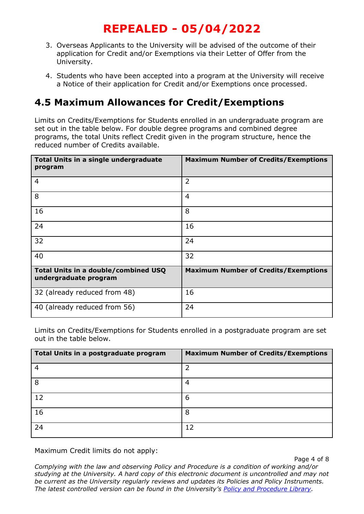- 3. Overseas Applicants to the University will be advised of the outcome of their application for Credit and/or Exemptions via their Letter of Offer from the University.
- 4. Students who have been accepted into a program at the University will receive a Notice of their application for Credit and/or Exemptions once processed.

#### **4.5 Maximum Allowances for Credit/Exemptions**

Limits on Credits/Exemptions for Students enrolled in an undergraduate program are set out in the table below. For double degree programs and combined degree programs, the total Units reflect Credit given in the program structure, hence the reduced number of Credits available.

| Total Units in a single undergraduate<br>program              | <b>Maximum Number of Credits/Exemptions</b> |
|---------------------------------------------------------------|---------------------------------------------|
| $\overline{4}$                                                | $\overline{2}$                              |
| 8                                                             | 4                                           |
| 16                                                            | 8                                           |
| 24                                                            | 16                                          |
| 32                                                            | 24                                          |
| 40                                                            | 32                                          |
| Total Units in a double/combined USQ<br>undergraduate program | <b>Maximum Number of Credits/Exemptions</b> |
| 32 (already reduced from 48)                                  | 16                                          |
| 40 (already reduced from 56)                                  | 24                                          |

Limits on Credits/Exemptions for Students enrolled in a postgraduate program are set out in the table below.

| Total Units in a postgraduate program | <b>Maximum Number of Credits/Exemptions</b> |
|---------------------------------------|---------------------------------------------|
| 4                                     | ว                                           |
| 8                                     | 4                                           |
| 12                                    | 6                                           |
| 16                                    | 8                                           |
| 24                                    | 12                                          |

Maximum Credit limits do not apply:

Page 4 of 8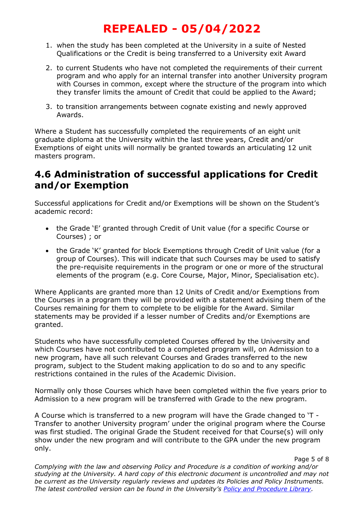- 1. when the study has been completed at the University in a suite of Nested Qualifications or the Credit is being transferred to a University exit Award
- 2. to current Students who have not completed the requirements of their current program and who apply for an internal transfer into another University program with Courses in common, except where the structure of the program into which they transfer limits the amount of Credit that could be applied to the Award;
- 3. to transition arrangements between cognate existing and newly approved Awards.

Where a Student has successfully completed the requirements of an eight unit graduate diploma at the University within the last three years, Credit and/or Exemptions of eight units will normally be granted towards an articulating 12 unit masters program.

#### **4.6 Administration of successful applications for Credit and/or Exemption**

Successful applications for Credit and/or Exemptions will be shown on the Student's academic record:

- the Grade 'E' granted through Credit of Unit value (for a specific Course or Courses) ; or
- the Grade 'K' granted for block Exemptions through Credit of Unit value (for a group of Courses). This will indicate that such Courses may be used to satisfy the pre-requisite requirements in the program or one or more of the structural elements of the program (e.g. Core Course, Major, Minor, Specialisation etc).

Where Applicants are granted more than 12 Units of Credit and/or Exemptions from the Courses in a program they will be provided with a statement advising them of the Courses remaining for them to complete to be eligible for the Award. Similar statements may be provided if a lesser number of Credits and/or Exemptions are granted.

Students who have successfully completed Courses offered by the University and which Courses have not contributed to a completed program will, on Admission to a new program, have all such relevant Courses and Grades transferred to the new program, subject to the Student making application to do so and to any specific restrictions contained in the rules of the Academic Division.

Normally only those Courses which have been completed within the five years prior to Admission to a new program will be transferred with Grade to the new program.

A Course which is transferred to a new program will have the Grade changed to 'T - Transfer to another University program' under the original program where the Course was first studied. The original Grade the Student received for that Course(s) will only show under the new program and will contribute to the GPA under the new program only.

*Complying with the law and observing Policy and Procedure is a condition of working and/or studying at the University. A hard copy of this electronic document is uncontrolled and may not be current as the University regularly reviews and updates its Policies and Policy Instruments. The latest controlled version can be found in the University's [Policy and Procedure Library.](http://policy.usq.edu.au/)*

Page 5 of 8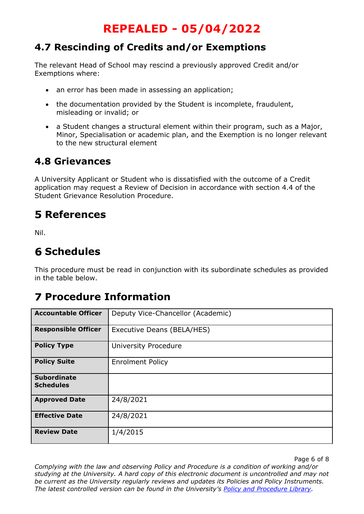#### **4.7 Rescinding of Credits and/or Exemptions**

The relevant Head of School may rescind a previously approved Credit and/or Exemptions where:

- an error has been made in assessing an application;
- the documentation provided by the Student is incomplete, fraudulent, misleading or invalid; or
- a Student changes a structural element within their program, such as a Major, Minor, Specialisation or academic plan, and the Exemption is no longer relevant to the new structural element

#### **4.8 Grievances**

A University Applicant or Student who is dissatisfied with the outcome of a Credit application may request a Review of Decision in accordance with section 4.4 of the Student Grievance Resolution Procedure.

### **References**

Nil.

### **Schedules**

This procedure must be read in conjunction with its subordinate schedules as provided in the table below.

## **Procedure Information**

| <b>Accountable Officer</b>             | Deputy Vice-Chancellor (Academic) |
|----------------------------------------|-----------------------------------|
| <b>Responsible Officer</b>             | Executive Deans (BELA/HES)        |
| <b>Policy Type</b>                     | <b>University Procedure</b>       |
| <b>Policy Suite</b>                    | <b>Enrolment Policy</b>           |
| <b>Subordinate</b><br><b>Schedules</b> |                                   |
| <b>Approved Date</b>                   | 24/8/2021                         |
| <b>Effective Date</b>                  | 24/8/2021                         |
| <b>Review Date</b>                     | 1/4/2015                          |

Page 6 of 8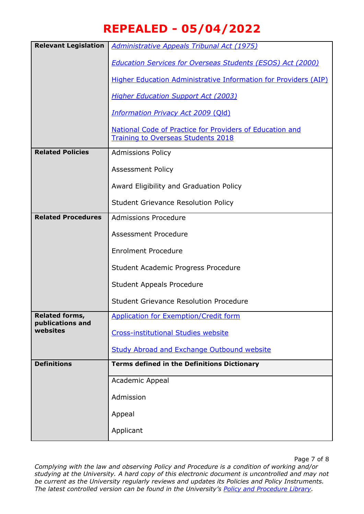| <b>Relevant Legislation</b>               | <b>Administrative Appeals Tribunal Act (1975)</b>                                                     |  |
|-------------------------------------------|-------------------------------------------------------------------------------------------------------|--|
|                                           | <b>Education Services for Overseas Students (ESOS) Act (2000)</b>                                     |  |
|                                           | <b>Higher Education Administrative Information for Providers (AIP)</b>                                |  |
|                                           | <b>Higher Education Support Act (2003)</b>                                                            |  |
|                                           | <b>Information Privacy Act 2009 (Old)</b>                                                             |  |
|                                           | National Code of Practice for Providers of Education and<br><b>Training to Overseas Students 2018</b> |  |
| <b>Related Policies</b>                   | <b>Admissions Policy</b>                                                                              |  |
|                                           | <b>Assessment Policy</b>                                                                              |  |
|                                           | Award Eligibility and Graduation Policy                                                               |  |
|                                           | <b>Student Grievance Resolution Policy</b>                                                            |  |
| <b>Related Procedures</b>                 | <b>Admissions Procedure</b>                                                                           |  |
|                                           | Assessment Procedure                                                                                  |  |
|                                           | <b>Enrolment Procedure</b>                                                                            |  |
|                                           | Student Academic Progress Procedure                                                                   |  |
|                                           | <b>Student Appeals Procedure</b>                                                                      |  |
|                                           | <b>Student Grievance Resolution Procedure</b>                                                         |  |
| <b>Related forms,</b><br>publications and | <b>Application for Exemption/Credit form</b>                                                          |  |
| websites                                  | <b>Cross-institutional Studies website</b>                                                            |  |
|                                           | <b>Study Abroad and Exchange Outbound website</b>                                                     |  |
| <b>Definitions</b>                        | <b>Terms defined in the Definitions Dictionary</b>                                                    |  |
|                                           | Academic Appeal                                                                                       |  |
|                                           | Admission                                                                                             |  |
|                                           | Appeal                                                                                                |  |
|                                           | Applicant                                                                                             |  |

Page 7 of 8